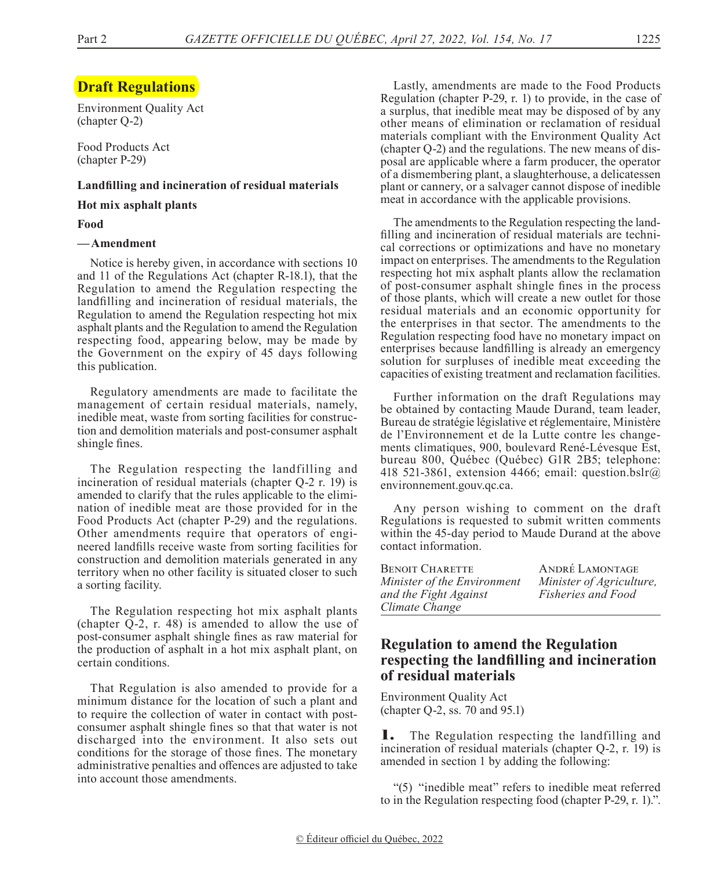## **Draft Regulations**

Environment Quality Act (chapter Q-2)

Food Products Act (chapter P-29)

#### **Landfilling and incineration of residual materials**

**Hot mix asphalt plants**

#### **Food**

### **—Amendment**

Notice is hereby given, in accordance with sections 10 and 11 of the Regulations Act (chapter R-18.1), that the Regulation to amend the Regulation respecting the landfilling and incineration of residual materials, the Regulation to amend the Regulation respecting hot mix asphalt plants and the Regulation to amend the Regulation respecting food, appearing below, may be made by the Government on the expiry of 45 days following this publication.

Regulatory amendments are made to facilitate the management of certain residual materials, namely, inedible meat, waste from sorting facilities for construction and demolition materials and post-consumer asphalt shingle fines.

The Regulation respecting the landfilling and incineration of residual materials (chapter Q-2 r. 19) is amended to clarify that the rules applicable to the elimination of inedible meat are those provided for in the Food Products Act (chapter P-29) and the regulations. Other amendments require that operators of engineered landfills receive waste from sorting facilities for construction and demolition materials generated in any territory when no other facility is situated closer to such a sorting facility.

The Regulation respecting hot mix asphalt plants (chapter Q-2, r. 48) is amended to allow the use of post-consumer asphalt shingle fines as raw material for the production of asphalt in a hot mix asphalt plant, on certain conditions.

That Regulation is also amended to provide for a minimum distance for the location of such a plant and to require the collection of water in contact with postconsumer asphalt shingle fines so that that water is not discharged into the environment. It also sets out conditions for the storage of those fines. The monetary administrative penalties and offences are adjusted to take into account those amendments.

Lastly, amendments are made to the Food Products Regulation (chapter P-29, r. 1) to provide, in the case of a surplus, that inedible meat may be disposed of by any other means of elimination or reclamation of residual materials compliant with the Environment Quality Act (chapter Q-2) and the regulations. The new means of disposal are applicable where a farm producer, the operator of a dismembering plant, a slaughterhouse, a delicatessen plant or cannery, or a salvager cannot dispose of inedible meat in accordance with the applicable provisions.

The amendments to the Regulation respecting the landfilling and incineration of residual materials are technical corrections or optimizations and have no monetary impact on enterprises. The amendments to the Regulation respecting hot mix asphalt plants allow the reclamation of post-consumer asphalt shingle fines in the process of those plants, which will create a new outlet for those residual materials and an economic opportunity for the enterprises in that sector. The amendments to the Regulation respecting food have no monetary impact on enterprises because landfilling is already an emergency solution for surpluses of inedible meat exceeding the capacities of existing treatment and reclamation facilities.

Further information on the draft Regulations may be obtained by contacting Maude Durand, team leader, Bureau de stratégie législative et réglementaire, Ministère de l'Environnement et de la Lutte contre les changements climatiques, 900, boulevard René-Lévesque Est, bureau 800, Québec (Québec) G1R 2B5; telephone: 418 521-3861, extension 4466; email: question.bslr@ environnement.gouv.qc.ca.

Any person wishing to comment on the draft Regulations is requested to submit written comments within the 45-day period to Maude Durand at the above contact information.

| BENOIT CHARETTE             | ANDRÉ LAMONTAGE          |
|-----------------------------|--------------------------|
| Minister of the Environment | Minister of Agriculture, |
| and the Fight Against       | Fisheries and Food       |
| Climate Change              |                          |

## **Regulation to amend the Regulation respecting the landfilling and incineration of residual materials**

Environment Quality Act (chapter Q-2, ss. 70 and 95.1)

1. The Regulation respecting the landfilling and incineration of residual materials (chapter Q-2, r. 19) is amended in section 1 by adding the following:

"(5) "inedible meat" refers to inedible meat referred to in the Regulation respecting food (chapter P-29, r. 1).".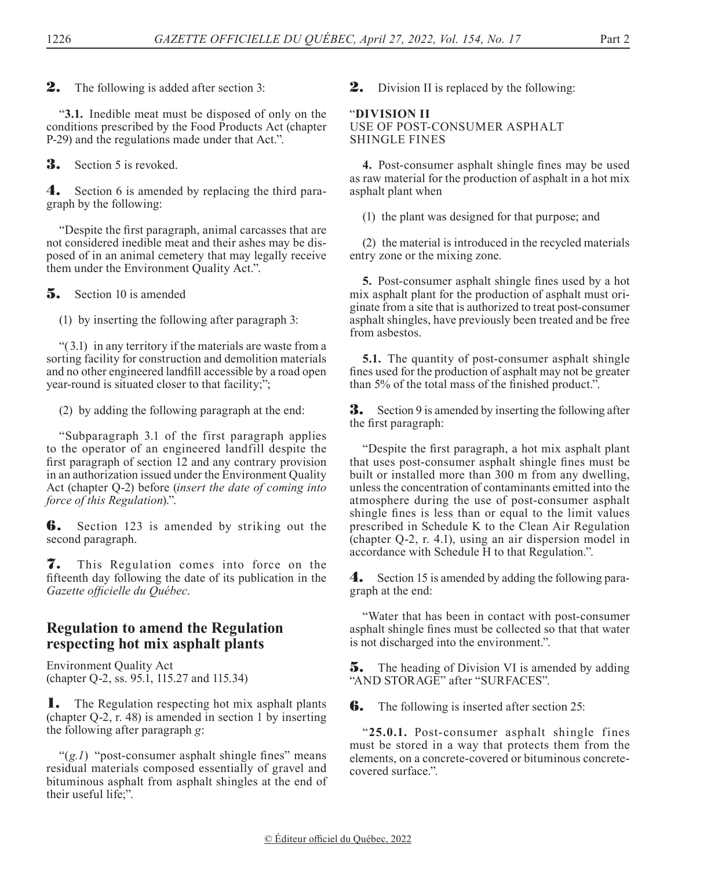**2.** The following is added after section 3:

"**3.1.** Inedible meat must be disposed of only on the conditions prescribed by the Food Products Act (chapter P-29) and the regulations made under that Act.".

**3.** Section 5 is revoked.

4. Section 6 is amended by replacing the third paragraph by the following:

"Despite the first paragraph, animal carcasses that are not considered inedible meat and their ashes may be disposed of in an animal cemetery that may legally receive them under the Environment Quality Act.".

**5.** Section 10 is amended

(1) by inserting the following after paragraph 3:

"(3.1) in any territory if the materials are waste from a sorting facility for construction and demolition materials and no other engineered landfill accessible by a road open year-round is situated closer to that facility;";

(2) by adding the following paragraph at the end:

"Subparagraph 3.1 of the first paragraph applies to the operator of an engineered landfill despite the first paragraph of section 12 and any contrary provision in an authorization issued under the Environment Quality Act (chapter Q-2) before (*insert the date of coming into force of this Regulation*).".

**6.** Section 123 is amended by striking out the second paragraph.

7. This Regulation comes into force on the fifteenth day following the date of its publication in the *Gazette officielle du Québec*.

## **Regulation to amend the Regulation respecting hot mix asphalt plants**

Environment Quality Act (chapter Q-2, ss. 95.1, 115.27 and 115.34)

**1.** The Regulation respecting hot mix asphalt plants (chapter Q-2, r. 48) is amended in section 1 by inserting the following after paragraph *g*:

"(g.1) "post-consumer asphalt shingle fines" means" residual materials composed essentially of gravel and bituminous asphalt from asphalt shingles at the end of their useful life;".

**2.** Division II is replaced by the following:

## "**DIVISION II**

### USE OF POST-CONSUMER ASPHALT SHINGLE FINES

**4.** Post-consumer asphalt shingle fines may be used as raw material for the production of asphalt in a hot mix asphalt plant when

(1) the plant was designed for that purpose; and

(2) the material is introduced in the recycled materials entry zone or the mixing zone.

**5.** Post-consumer asphalt shingle fines used by a hot mix asphalt plant for the production of asphalt must originate from a site that is authorized to treat post-consumer asphalt shingles, have previously been treated and be free from asbestos.

**5.1.** The quantity of post-consumer asphalt shingle fines used for the production of asphalt may not be greater than 5% of the total mass of the finished product.".

**3.** Section 9 is amended by inserting the following after the first paragraph:

"Despite the first paragraph, a hot mix asphalt plant that uses post-consumer asphalt shingle fines must be built or installed more than 300 m from any dwelling, unless the concentration of contaminants emitted into the atmosphere during the use of post-consumer asphalt shingle fines is less than or equal to the limit values prescribed in Schedule K to the Clean Air Regulation (chapter Q-2, r. 4.1), using an air dispersion model in accordance with Schedule H to that Regulation.".

4. Section 15 is amended by adding the following paragraph at the end:

"Water that has been in contact with post-consumer asphalt shingle fines must be collected so that that water is not discharged into the environment.".

**5.** The heading of Division VI is amended by adding "AND STORAGE" after "SURFACES".

**6.** The following is inserted after section 25:

"**25.0.1.** Post-consumer asphalt shingle fines must be stored in a way that protects them from the elements, on a concrete-covered or bituminous concretecovered surface.".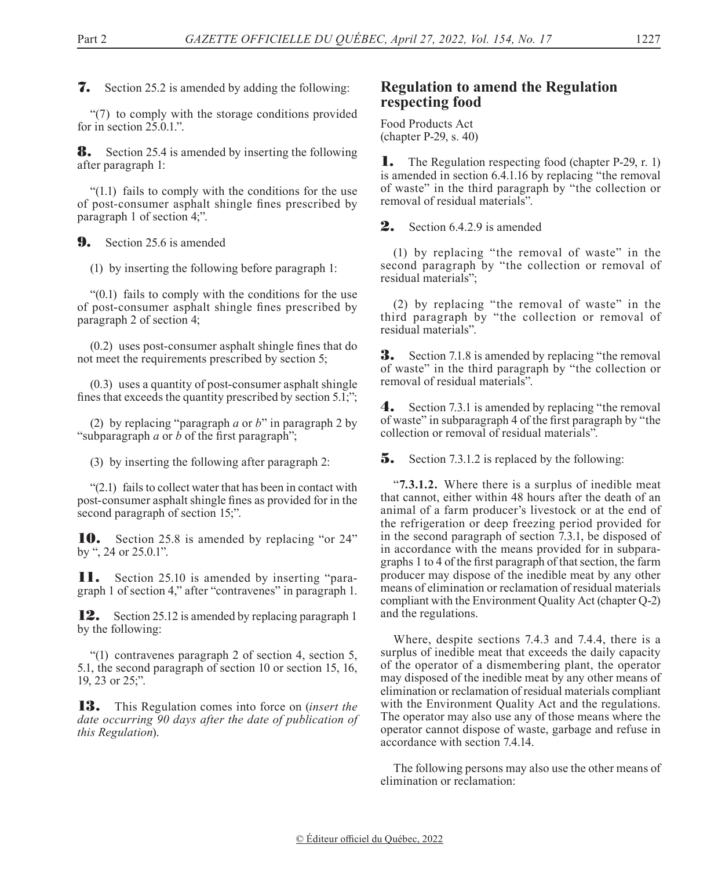7. Section 25.2 is amended by adding the following:

"(7) to comply with the storage conditions provided for in section  $25.0.1$ .".

**8.** Section 25.4 is amended by inserting the following after paragraph 1:

"(1.1) fails to comply with the conditions for the use of post-consumer asphalt shingle fines prescribed by paragraph 1 of section 4;".

**9.** Section 25.6 is amended

(1) by inserting the following before paragraph 1:

"(0.1) fails to comply with the conditions for the use of post-consumer asphalt shingle fines prescribed by paragraph 2 of section 4;

(0.2) uses post-consumer asphalt shingle fines that do not meet the requirements prescribed by section 5;

(0.3) uses a quantity of post-consumer asphalt shingle fines that exceeds the quantity prescribed by section 5.1;";

(2) by replacing "paragraph *a* or *b*" in paragraph 2 by "subparagraph *a* or *b* of the first paragraph";

(3) by inserting the following after paragraph 2:

"(2.1) fails to collect water that has been in contact with post-consumer asphalt shingle fines as provided for in the second paragraph of section 15;".

10. Section 25.8 is amended by replacing "or 24" by ", 24 or 25.0.1".

11. Section 25.10 is amended by inserting "paragraph 1 of section 4," after "contravenes" in paragraph 1.

12. Section 25.12 is amended by replacing paragraph 1 by the following:

"(1) contravenes paragraph 2 of section 4, section 5, 5.1, the second paragraph of section 10 or section 15, 16, 19, 23 or 25;".

13. This Regulation comes into force on (*insert the date occurring 90 days after the date of publication of this Regulation*).

## **Regulation to amend the Regulation respecting food**

Food Products Act (chapter P-29, s. 40)

**1.** The Regulation respecting food (chapter P-29, r. 1) is amended in section 6.4.1.16 by replacing "the removal of waste" in the third paragraph by "the collection or removal of residual materials".

2. Section 6.4.2.9 is amended

(1) by replacing "the removal of waste" in the second paragraph by "the collection or removal of residual materials";

(2) by replacing "the removal of waste" in the third paragraph by "the collection or removal of residual materials".

**3.** Section 7.1.8 is amended by replacing "the removal" of waste" in the third paragraph by "the collection or removal of residual materials".

4. Section 7.3.1 is amended by replacing "the removal of waste" in subparagraph 4 of the first paragraph by "the collection or removal of residual materials".

**5.** Section 7.3.1.2 is replaced by the following:

"**7.3.1.2.** Where there is a surplus of inedible meat that cannot, either within 48 hours after the death of an animal of a farm producer's livestock or at the end of the refrigeration or deep freezing period provided for in the second paragraph of section 7.3.1, be disposed of in accordance with the means provided for in subparagraphs 1 to 4 of the first paragraph of that section, the farm producer may dispose of the inedible meat by any other means of elimination or reclamation of residual materials compliant with the Environment Quality Act (chapter Q-2) and the regulations.

Where, despite sections 7.4.3 and 7.4.4, there is a surplus of inedible meat that exceeds the daily capacity of the operator of a dismembering plant, the operator may disposed of the inedible meat by any other means of elimination or reclamation of residual materials compliant with the Environment Quality Act and the regulations. The operator may also use any of those means where the operator cannot dispose of waste, garbage and refuse in accordance with section 7.4.14.

The following persons may also use the other means of elimination or reclamation: